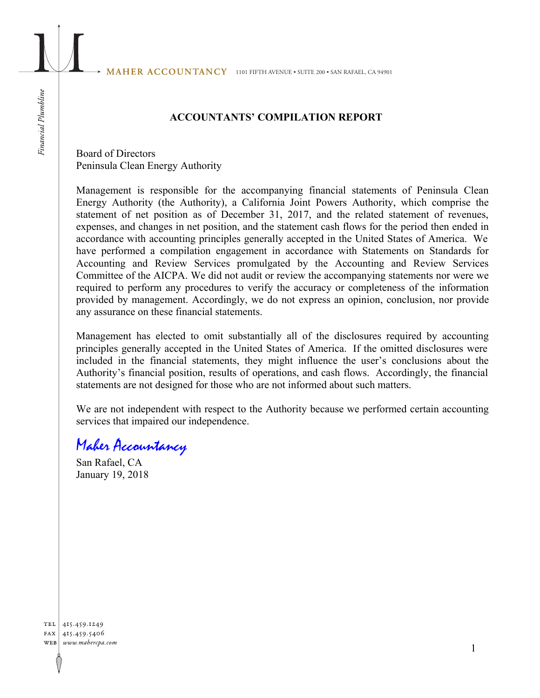### **ACCOUNTANTS' COMPILATION REPORT**

Board of Directors Peninsula Clean Energy Authority

Management is responsible for the accompanying financial statements of Peninsula Clean Energy Authority (the Authority), a California Joint Powers Authority, which comprise the statement of net position as of December 31, 2017, and the related statement of revenues, expenses, and changes in net position, and the statement cash flows for the period then ended in accordance with accounting principles generally accepted in the United States of America. We have performed a compilation engagement in accordance with Statements on Standards for Accounting and Review Services promulgated by the Accounting and Review Services Committee of the AICPA. We did not audit or review the accompanying statements nor were we required to perform any procedures to verify the accuracy or completeness of the information provided by management. Accordingly, we do not express an opinion, conclusion, nor provide any assurance on these financial statements.

Management has elected to omit substantially all of the disclosures required by accounting principles generally accepted in the United States of America. If the omitted disclosures were included in the financial statements, they might influence the user's conclusions about the Authority's financial position, results of operations, and cash flows. Accordingly, the financial statements are not designed for those who are not informed about such matters.

We are not independent with respect to the Authority because we performed certain accounting services that impaired our independence.

# Maher Accountancy

San Rafael, CA January 19, 2018

TEL 415.459.1249 FAX 415.459.5406 WEB www.mahercpa.com

Financial Plumbline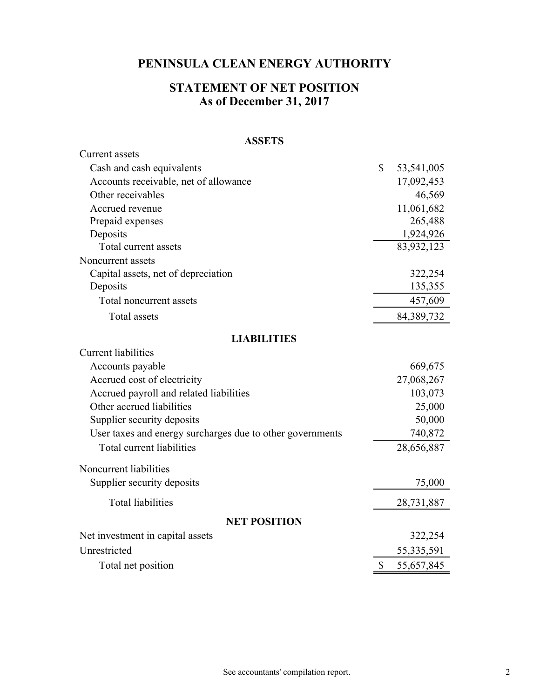### **As of December 31, 2017 STATEMENT OF NET POSITION**

#### **ASSETS**

| <b>Current</b> assets                                     |              |            |  |  |  |  |  |
|-----------------------------------------------------------|--------------|------------|--|--|--|--|--|
| Cash and cash equivalents                                 | \$           | 53,541,005 |  |  |  |  |  |
| Accounts receivable, net of allowance                     |              | 17,092,453 |  |  |  |  |  |
| Other receivables                                         |              | 46,569     |  |  |  |  |  |
| Accrued revenue                                           |              | 11,061,682 |  |  |  |  |  |
| Prepaid expenses                                          |              | 265,488    |  |  |  |  |  |
| Deposits                                                  |              | 1,924,926  |  |  |  |  |  |
| Total current assets                                      |              | 83,932,123 |  |  |  |  |  |
| Noncurrent assets                                         |              |            |  |  |  |  |  |
| Capital assets, net of depreciation                       |              | 322,254    |  |  |  |  |  |
| Deposits                                                  |              | 135,355    |  |  |  |  |  |
| Total noncurrent assets                                   |              | 457,609    |  |  |  |  |  |
| <b>Total</b> assets                                       |              | 84,389,732 |  |  |  |  |  |
| <b>LIABILITIES</b>                                        |              |            |  |  |  |  |  |
| <b>Current liabilities</b>                                |              |            |  |  |  |  |  |
| Accounts payable                                          |              | 669,675    |  |  |  |  |  |
| Accrued cost of electricity                               |              | 27,068,267 |  |  |  |  |  |
| Accrued payroll and related liabilities                   |              | 103,073    |  |  |  |  |  |
| Other accrued liabilities                                 |              | 25,000     |  |  |  |  |  |
| Supplier security deposits                                |              | 50,000     |  |  |  |  |  |
| User taxes and energy surcharges due to other governments |              | 740,872    |  |  |  |  |  |
| Total current liabilities                                 |              | 28,656,887 |  |  |  |  |  |
| Noncurrent liabilities                                    |              |            |  |  |  |  |  |
| Supplier security deposits                                |              | 75,000     |  |  |  |  |  |
| <b>Total liabilities</b>                                  |              | 28,731,887 |  |  |  |  |  |
| <b>NET POSITION</b>                                       |              |            |  |  |  |  |  |
| Net investment in capital assets                          |              | 322,254    |  |  |  |  |  |
| Unrestricted                                              |              | 55,335,591 |  |  |  |  |  |
| Total net position                                        | $\mathbb{S}$ | 55,657,845 |  |  |  |  |  |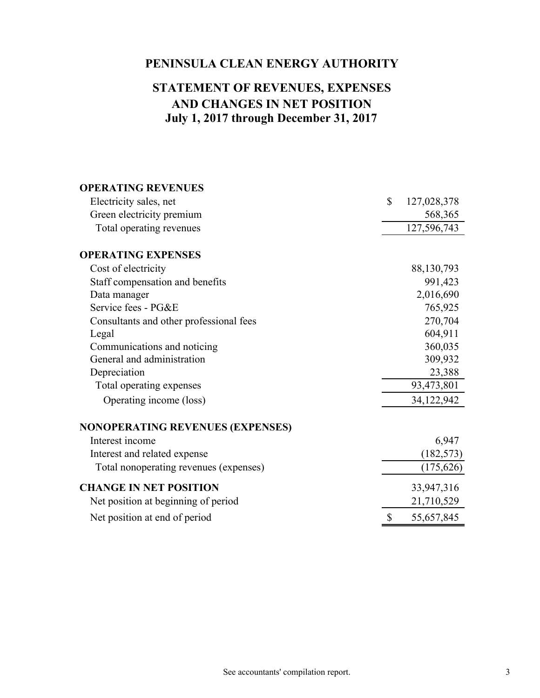## **July 1, 2017 through December 31, 2017 AND CHANGES IN NET POSITION STATEMENT OF REVENUES, EXPENSES**

| <b>OPERATING REVENUES</b>               |    |             |
|-----------------------------------------|----|-------------|
| Electricity sales, net                  | \$ | 127,028,378 |
| Green electricity premium               |    | 568,365     |
| Total operating revenues                |    | 127,596,743 |
| <b>OPERATING EXPENSES</b>               |    |             |
| Cost of electricity                     |    | 88,130,793  |
| Staff compensation and benefits         |    | 991,423     |
| Data manager                            |    | 2,016,690   |
| Service fees - PG&E                     |    | 765,925     |
| Consultants and other professional fees |    | 270,704     |
| Legal                                   |    | 604,911     |
| Communications and noticing             |    | 360,035     |
| General and administration              |    | 309,932     |
| Depreciation                            |    | 23,388      |
| Total operating expenses                |    | 93,473,801  |
| Operating income (loss)                 |    | 34,122,942  |
| <b>NONOPERATING REVENUES (EXPENSES)</b> |    |             |
| Interest income                         |    | 6,947       |
| Interest and related expense            |    | (182, 573)  |
| Total nonoperating revenues (expenses)  |    | (175, 626)  |
| <b>CHANGE IN NET POSITION</b>           |    | 33,947,316  |
| Net position at beginning of period     |    | 21,710,529  |
| Net position at end of period           | \$ | 55,657,845  |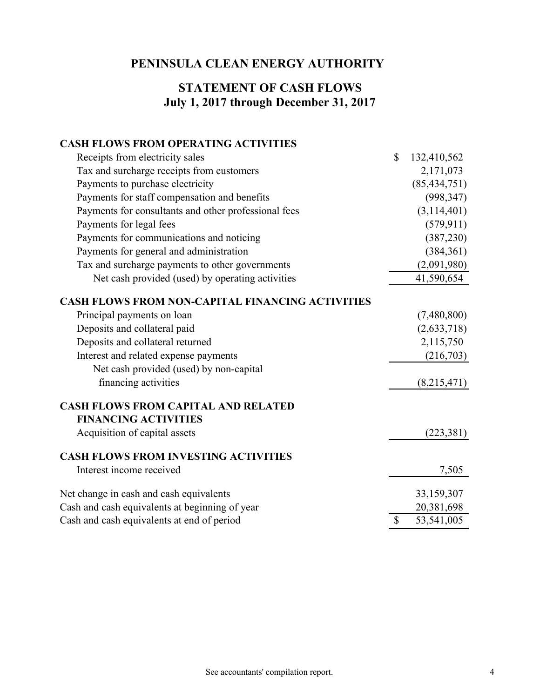## **July 1, 2017 through December 31, 2017 STATEMENT OF CASH FLOWS**

#### **CASH FLOWS FROM OPERATING ACTIVITIES**

| Receipts from electricity sales                         | $\mathbb{S}$ | 132,410,562    |
|---------------------------------------------------------|--------------|----------------|
| Tax and surcharge receipts from customers               |              | 2,171,073      |
| Payments to purchase electricity                        |              | (85, 434, 751) |
| Payments for staff compensation and benefits            |              | (998, 347)     |
| Payments for consultants and other professional fees    |              | (3,114,401)    |
| Payments for legal fees                                 |              | (579, 911)     |
| Payments for communications and noticing                |              | (387,230)      |
| Payments for general and administration                 |              | (384, 361)     |
| Tax and surcharge payments to other governments         |              | (2,091,980)    |
| Net cash provided (used) by operating activities        |              | 41,590,654     |
| <b>CASH FLOWS FROM NON-CAPITAL FINANCING ACTIVITIES</b> |              |                |
| Principal payments on loan                              |              | (7,480,800)    |
| Deposits and collateral paid                            |              | (2,633,718)    |
| Deposits and collateral returned                        |              | 2,115,750      |
| Interest and related expense payments                   |              | (216,703)      |
| Net cash provided (used) by non-capital                 |              |                |
| financing activities                                    |              | (8,215,471)    |
| <b>CASH FLOWS FROM CAPITAL AND RELATED</b>              |              |                |
| <b>FINANCING ACTIVITIES</b>                             |              |                |
| Acquisition of capital assets                           |              | (223, 381)     |
| <b>CASH FLOWS FROM INVESTING ACTIVITIES</b>             |              |                |
| Interest income received                                |              | 7,505          |
| Net change in cash and cash equivalents                 |              | 33,159,307     |
| Cash and cash equivalents at beginning of year          |              | 20,381,698     |
| Cash and cash equivalents at end of period              | $\mathbb{S}$ | 53,541,005     |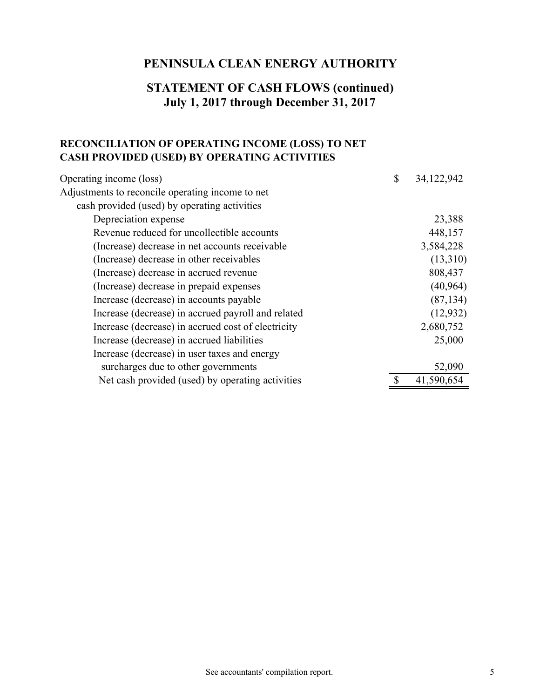### **STATEMENT OF CASH FLOWS (continued) July 1, 2017 through December 31, 2017**

### **RECONCILIATION OF OPERATING INCOME (LOSS) TO NET CASH PROVIDED (USED) BY OPERATING ACTIVITIES**

| Operating income (loss)                            | \$<br>34,122,942 |
|----------------------------------------------------|------------------|
| Adjustments to reconcile operating income to net   |                  |
| cash provided (used) by operating activities       |                  |
| Depreciation expense                               | 23,388           |
| Revenue reduced for uncollectible accounts         | 448,157          |
| (Increase) decrease in net accounts receivable     | 3,584,228        |
| (Increase) decrease in other receivables           | (13,310)         |
| (Increase) decrease in accrued revenue             | 808,437          |
| (Increase) decrease in prepaid expenses            | (40, 964)        |
| Increase (decrease) in accounts payable            | (87, 134)        |
| Increase (decrease) in accrued payroll and related | (12, 932)        |
| Increase (decrease) in accrued cost of electricity | 2,680,752        |
| Increase (decrease) in accrued liabilities         | 25,000           |
| Increase (decrease) in user taxes and energy       |                  |
| surcharges due to other governments                | 52,090           |
| Net cash provided (used) by operating activities   | 41,590,654       |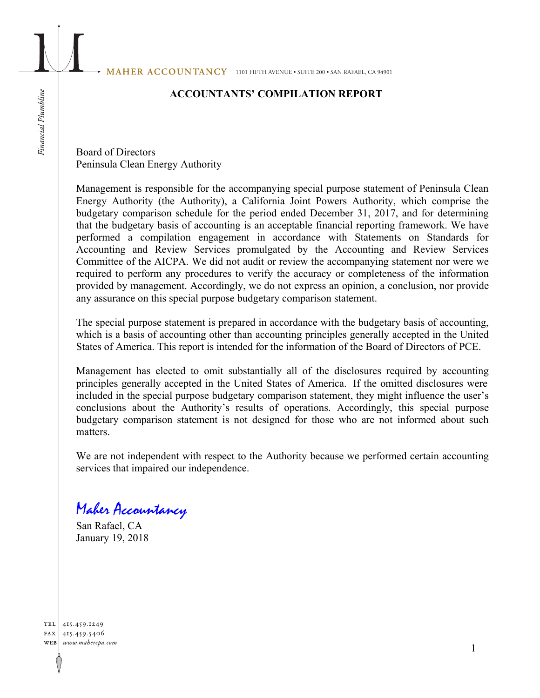MAHER ACCOUNTANCY 1101 FIFTH AVENUE • SUITE 200 • SAN RAFAEL, CA 94901

### **ACCOUNTANTS' COMPILATION REPORT**

Board of Directors Peninsula Clean Energy Authority

Management is responsible for the accompanying special purpose statement of Peninsula Clean Energy Authority (the Authority), a California Joint Powers Authority, which comprise the budgetary comparison schedule for the period ended December 31, 2017, and for determining that the budgetary basis of accounting is an acceptable financial reporting framework. We have performed a compilation engagement in accordance with Statements on Standards for Accounting and Review Services promulgated by the Accounting and Review Services Committee of the AICPA. We did not audit or review the accompanying statement nor were we required to perform any procedures to verify the accuracy or completeness of the information provided by management. Accordingly, we do not express an opinion, a conclusion, nor provide any assurance on this special purpose budgetary comparison statement.

The special purpose statement is prepared in accordance with the budgetary basis of accounting, which is a basis of accounting other than accounting principles generally accepted in the United States of America. This report is intended for the information of the Board of Directors of PCE.

Management has elected to omit substantially all of the disclosures required by accounting principles generally accepted in the United States of America. If the omitted disclosures were included in the special purpose budgetary comparison statement, they might influence the user's conclusions about the Authority's results of operations. Accordingly, this special purpose budgetary comparison statement is not designed for those who are not informed about such matters.

We are not independent with respect to the Authority because we performed certain accounting services that impaired our independence.

Maher Accountancy

San Rafael, CA January 19, 2018

TEL 415.459.1249 FAX 415.459.5406 WEB www.mahercpa.com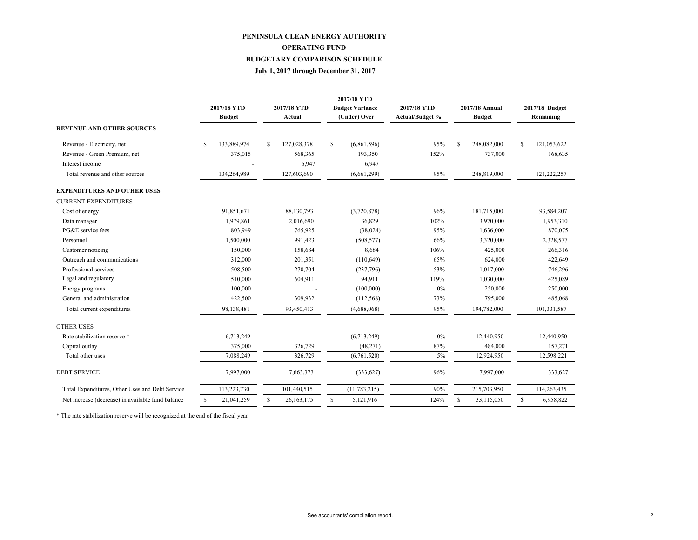#### **PENINSULA CLEAN ENERGY AUTHORITY BUDGETARY COMPARISON SCHEDULE OPERATING FUND**

#### **July 1, 2017 through December 31, 2017**

|                                                   |               | 2017/18 YTD<br><b>Budget</b> |              | 2017/18 YTD<br>Actual |               | 2017/18 YTD<br><b>Budget Variance</b><br>(Under) Over | 2017/18 YTD<br>Actual/Budget % | 2017/18 Annual<br><b>Budget</b> |             | 2017/18 Budget<br>Remaining |             |
|---------------------------------------------------|---------------|------------------------------|--------------|-----------------------|---------------|-------------------------------------------------------|--------------------------------|---------------------------------|-------------|-----------------------------|-------------|
| <b>REVENUE AND OTHER SOURCES</b>                  |               |                              |              |                       |               |                                                       |                                |                                 |             |                             |             |
| Revenue - Electricity, net                        | S             | 133,889,974                  | S            | 127,028,378           | S             | (6,861,596)                                           | 95%                            | S                               | 248,082,000 | S                           | 121,053,622 |
| Revenue - Green Premium, net                      |               | 375,015                      |              | 568,365               |               | 193,350                                               | 152%                           |                                 | 737,000     |                             | 168,635     |
| Interest income                                   |               |                              |              | 6,947                 |               | 6,947                                                 |                                |                                 |             |                             |             |
| Total revenue and other sources                   |               | 134,264,989                  |              | 127,603,690           |               | (6,661,299)                                           | 95%                            |                                 | 248,819,000 |                             | 121,222,257 |
| <b>EXPENDITURES AND OTHER USES</b>                |               |                              |              |                       |               |                                                       |                                |                                 |             |                             |             |
| <b>CURRENT EXPENDITURES</b>                       |               |                              |              |                       |               |                                                       |                                |                                 |             |                             |             |
| Cost of energy                                    |               | 91,851,671                   |              | 88,130,793            |               | (3,720,878)                                           | 96%                            |                                 | 181,715,000 |                             | 93,584,207  |
| Data manager                                      |               | 1,979,861                    |              | 2,016,690             |               | 36,829                                                | 102%                           |                                 | 3,970,000   |                             | 1,953,310   |
| PG&E service fees                                 |               | 803,949                      |              | 765,925               |               | (38,024)                                              | 95%                            |                                 | 1,636,000   |                             | 870,075     |
| Personnel                                         |               | 1,500,000                    |              | 991,423               |               | (508, 577)                                            | 66%                            |                                 | 3,320,000   |                             | 2,328,577   |
| Customer noticing                                 |               | 150,000                      |              | 158,684               |               | 8,684                                                 | 106%                           |                                 | 425,000     |                             | 266,316     |
| Outreach and communications                       |               | 312,000                      |              | 201,351               |               | (110, 649)                                            | 65%                            |                                 | 624,000     |                             | 422,649     |
| Professional services                             |               | 508,500                      |              | 270,704               |               | (237,796)                                             | 53%                            |                                 | 1,017,000   |                             | 746,296     |
| Legal and regulatory                              |               | 510,000                      |              | 604,911               |               | 94,911                                                | 119%                           |                                 | 1,030,000   |                             | 425,089     |
| Energy programs                                   |               | 100,000                      |              |                       |               | (100,000)                                             | $0\%$                          |                                 | 250,000     |                             | 250,000     |
| General and administration                        |               | 422,500                      |              | 309,932               |               | (112, 568)                                            | 73%                            |                                 | 795,000     |                             | 485,068     |
| Total current expenditures                        |               | 98,138,481                   |              | 93,450,413            |               | (4,688,068)                                           | 95%                            |                                 | 194,782,000 |                             | 101,331,587 |
| <b>OTHER USES</b>                                 |               |                              |              |                       |               |                                                       |                                |                                 |             |                             |             |
| Rate stabilization reserve *                      |               | 6,713,249                    |              |                       |               | (6,713,249)                                           | $0\%$                          |                                 | 12,440,950  |                             | 12,440,950  |
| Capital outlay                                    |               | 375,000                      |              | 326,729               |               | (48,271)                                              | 87%                            |                                 | 484,000     |                             | 157,271     |
| Total other uses                                  |               | 7,088,249                    |              | 326,729               |               | (6,761,520)                                           | 5%                             |                                 | 12,924,950  |                             | 12,598,221  |
| <b>DEBT SERVICE</b>                               |               | 7,997,000                    |              | 7,663,373             |               | (333,627)                                             | 96%                            |                                 | 7,997,000   |                             | 333,627     |
| Total Expenditures, Other Uses and Debt Service   |               | 113,223,730                  |              | 101,440,515           |               | (11, 783, 215)                                        | 90%                            |                                 | 215,703,950 |                             | 114,263,435 |
| Net increase (decrease) in available fund balance | <sup>\$</sup> | 21,041,259                   | $\mathbb{S}$ | 26,163,175            | <sup>\$</sup> | 5.121.916                                             | 124%                           | S                               | 33,115,050  | S                           | 6,958,822   |

\* The rate stabilization reserve will be recognized at the end of the fiscal year